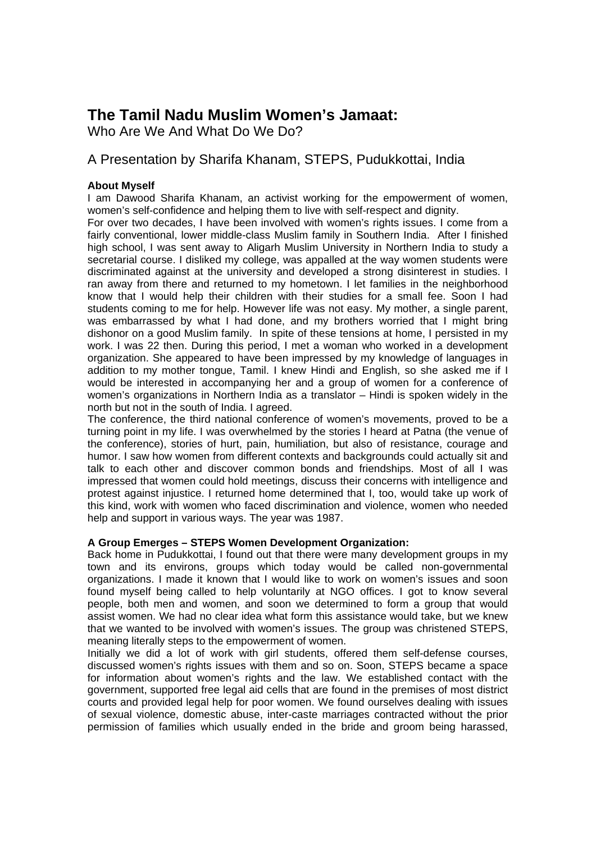# **The Tamil Nadu Muslim Women's Jamaat:**

Who Are We And What Do We Do?

# A Presentation by Sharifa Khanam, STEPS, Pudukkottai, India

# **About Myself**

I am Dawood Sharifa Khanam, an activist working for the empowerment of women, women's self-confidence and helping them to live with self-respect and dignity.

For over two decades, I have been involved with women's rights issues. I come from a fairly conventional, lower middle-class Muslim family in Southern India. After I finished high school, I was sent away to Aligarh Muslim University in Northern India to study a secretarial course. I disliked my college, was appalled at the way women students were discriminated against at the university and developed a strong disinterest in studies. I ran away from there and returned to my hometown. I let families in the neighborhood know that I would help their children with their studies for a small fee. Soon I had students coming to me for help. However life was not easy. My mother, a single parent, was embarrassed by what I had done, and my brothers worried that I might bring dishonor on a good Muslim family. In spite of these tensions at home, I persisted in my work. I was 22 then. During this period, I met a woman who worked in a development organization. She appeared to have been impressed by my knowledge of languages in addition to my mother tongue, Tamil. I knew Hindi and English, so she asked me if I would be interested in accompanying her and a group of women for a conference of women's organizations in Northern India as a translator – Hindi is spoken widely in the north but not in the south of India. I agreed.

The conference, the third national conference of women's movements, proved to be a turning point in my life. I was overwhelmed by the stories I heard at Patna (the venue of the conference), stories of hurt, pain, humiliation, but also of resistance, courage and humor. I saw how women from different contexts and backgrounds could actually sit and talk to each other and discover common bonds and friendships. Most of all I was impressed that women could hold meetings, discuss their concerns with intelligence and protest against injustice. I returned home determined that I, too, would take up work of this kind, work with women who faced discrimination and violence, women who needed help and support in various ways. The year was 1987.

# **A Group Emerges – STEPS Women Development Organization:**

Back home in Pudukkottai, I found out that there were many development groups in my town and its environs, groups which today would be called non-governmental organizations. I made it known that I would like to work on women's issues and soon found myself being called to help voluntarily at NGO offices. I got to know several people, both men and women, and soon we determined to form a group that would assist women. We had no clear idea what form this assistance would take, but we knew that we wanted to be involved with women's issues. The group was christened STEPS, meaning literally steps to the empowerment of women.

Initially we did a lot of work with girl students, offered them self-defense courses, discussed women's rights issues with them and so on. Soon, STEPS became a space for information about women's rights and the law. We established contact with the government, supported free legal aid cells that are found in the premises of most district courts and provided legal help for poor women. We found ourselves dealing with issues of sexual violence, domestic abuse, inter-caste marriages contracted without the prior permission of families which usually ended in the bride and groom being harassed,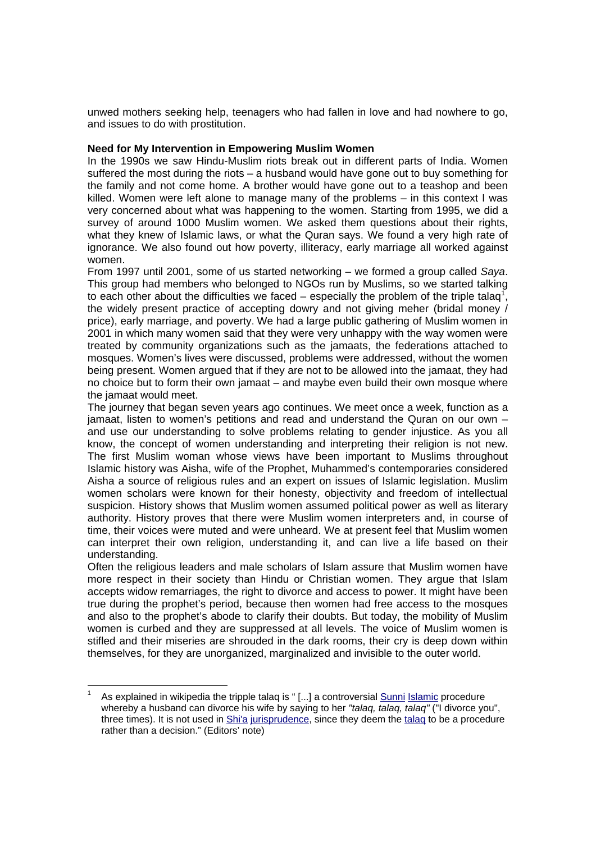unwed mothers seeking help, teenagers who had fallen in love and had nowhere to go, and issues to do with prostitution.

# **Need for My Intervention in Empowering Muslim Women**

In the 1990s we saw Hindu-Muslim riots break out in different parts of India. Women suffered the most during the riots – a husband would have gone out to buy something for the family and not come home. A brother would have gone out to a teashop and been killed. Women were left alone to manage many of the problems – in this context I was very concerned about what was happening to the women. Starting from 1995, we did a survey of around 1000 Muslim women. We asked them questions about their rights, what they knew of Islamic laws, or what the Quran says. We found a very high rate of ignorance. We also found out how poverty, illiteracy, early marriage all worked against women.

From 1997 until 2001, some of us started networking – we formed a group called *Saya*. This group had members who belonged to NGOs run by Muslims, so we started talking to each other about the difficulties we faced – especially the problem of the triple talaq<sup>1</sup>, the widely present practice of accepting dowry and not giving meher (bridal money / price), early marriage, and poverty. We had a large public gathering of Muslim women in 2001 in which many women said that they were very unhappy with the way women were treated by community organizations such as the jamaats, the federations attached to mosques. Women's lives were discussed, problems were addressed, without the women being present. Women argued that if they are not to be allowed into the jamaat, they had no choice but to form their own jamaat – and maybe even build their own mosque where the jamaat would meet.

The journey that began seven years ago continues. We meet once a week, function as a jamaat, listen to women's petitions and read and understand the Quran on our own – and use our understanding to solve problems relating to gender injustice. As you all know, the concept of women understanding and interpreting their religion is not new. The first Muslim woman whose views have been important to Muslims throughout Islamic history was Aisha, wife of the Prophet, Muhammed's contemporaries considered Aisha a source of religious rules and an expert on issues of Islamic legislation. Muslim women scholars were known for their honesty, objectivity and freedom of intellectual suspicion. History shows that Muslim women assumed political power as well as literary authority. History proves that there were Muslim women interpreters and, in course of time, their voices were muted and were unheard. We at present feel that Muslim women can interpret their own religion, understanding it, and can live a life based on their understanding.

Often the religious leaders and male scholars of Islam assure that Muslim women have more respect in their society than Hindu or Christian women. They argue that Islam accepts widow remarriages, the right to divorce and access to power. It might have been true during the prophet's period, because then women had free access to the mosques and also to the prophet's abode to clarify their doubts. But today, the mobility of Muslim women is curbed and they are suppressed at all levels. The voice of Muslim women is stifled and their miseries are shrouded in the dark rooms, their cry is deep down within themselves, for they are unorganized, marginalized and invisible to the outer world.

<sup>1</sup> As explained in wikipedia the tripple talaq is " [...] a controversial Sunni Islamic procedure whereby a husband can divorce his wife by saying to her *"talaq, talaq, talaq"* ("I divorce you", three times). It is not used in Shi'a jurisprudence, since they deem the talaq to be a procedure rather than a decision." (Editors' note)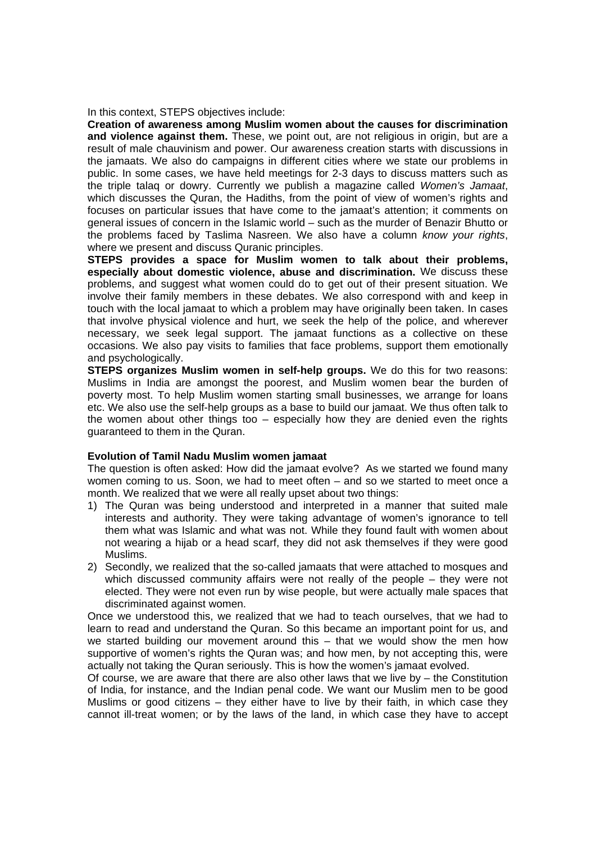In this context, STEPS objectives include:

**Creation of awareness among Muslim women about the causes for discrimination**  and violence against them. These, we point out, are not religious in origin, but are a result of male chauvinism and power. Our awareness creation starts with discussions in the jamaats. We also do campaigns in different cities where we state our problems in public. In some cases, we have held meetings for 2-3 days to discuss matters such as the triple talaq or dowry. Currently we publish a magazine called *Women's Jamaat*, which discusses the Quran, the Hadiths, from the point of view of women's rights and focuses on particular issues that have come to the jamaat's attention; it comments on general issues of concern in the Islamic world – such as the murder of Benazir Bhutto or the problems faced by Taslima Nasreen. We also have a column *know your rights*, where we present and discuss Quranic principles.

**STEPS provides a space for Muslim women to talk about their problems, especially about domestic violence, abuse and discrimination.** We discuss these problems, and suggest what women could do to get out of their present situation. We involve their family members in these debates. We also correspond with and keep in touch with the local jamaat to which a problem may have originally been taken. In cases that involve physical violence and hurt, we seek the help of the police, and wherever necessary, we seek legal support. The jamaat functions as a collective on these occasions. We also pay visits to families that face problems, support them emotionally and psychologically.

**STEPS organizes Muslim women in self-help groups.** We do this for two reasons: Muslims in India are amongst the poorest, and Muslim women bear the burden of poverty most. To help Muslim women starting small businesses, we arrange for loans etc. We also use the self-help groups as a base to build our jamaat. We thus often talk to the women about other things too – especially how they are denied even the rights guaranteed to them in the Quran.

# **Evolution of Tamil Nadu Muslim women jamaat**

The question is often asked: How did the jamaat evolve? As we started we found many women coming to us. Soon, we had to meet often – and so we started to meet once a month. We realized that we were all really upset about two things:

- 1) The Quran was being understood and interpreted in a manner that suited male interests and authority. They were taking advantage of women's ignorance to tell them what was Islamic and what was not. While they found fault with women about not wearing a hijab or a head scarf, they did not ask themselves if they were good Muslims.
- 2) Secondly, we realized that the so-called jamaats that were attached to mosques and which discussed community affairs were not really of the people – they were not elected. They were not even run by wise people, but were actually male spaces that discriminated against women.

Once we understood this, we realized that we had to teach ourselves, that we had to learn to read and understand the Quran. So this became an important point for us, and we started building our movement around this – that we would show the men how supportive of women's rights the Quran was; and how men, by not accepting this, were actually not taking the Quran seriously. This is how the women's jamaat evolved.

Of course, we are aware that there are also other laws that we live by – the Constitution of India, for instance, and the Indian penal code. We want our Muslim men to be good Muslims or good citizens – they either have to live by their faith, in which case they cannot ill-treat women; or by the laws of the land, in which case they have to accept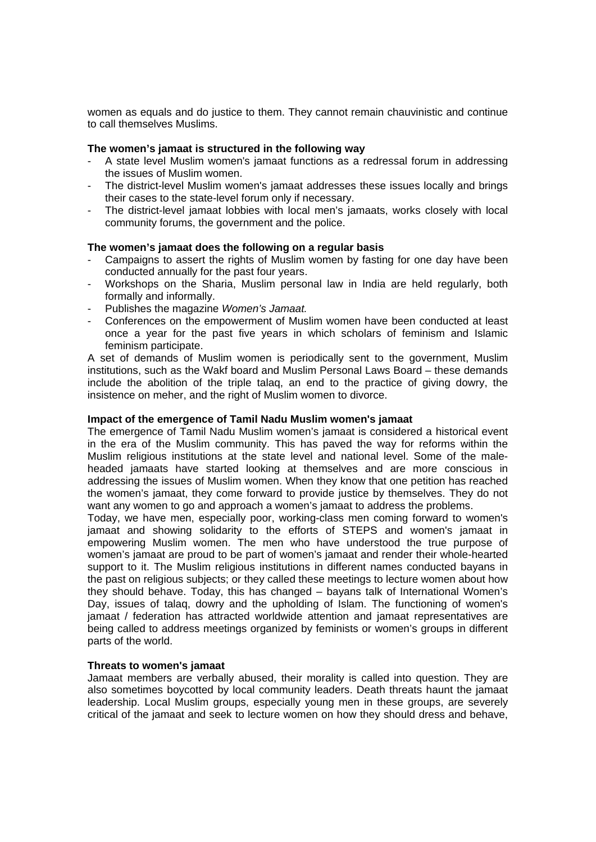women as equals and do justice to them. They cannot remain chauvinistic and continue to call themselves Muslims.

#### **The women's jamaat is structured in the following way**

- A state level Muslim women's jamaat functions as a redressal forum in addressing the issues of Muslim women.
- The district-level Muslim women's jamaat addresses these issues locally and brings their cases to the state-level forum only if necessary.
- The district-level jamaat lobbies with local men's jamaats, works closely with local community forums, the government and the police.

#### **The women's jamaat does the following on a regular basis**

- Campaigns to assert the rights of Muslim women by fasting for one day have been conducted annually for the past four years.
- Workshops on the Sharia, Muslim personal law in India are held regularly, both formally and informally.
- Publishes the magazine *Women's Jamaat.*
- Conferences on the empowerment of Muslim women have been conducted at least once a year for the past five years in which scholars of feminism and Islamic feminism participate.

A set of demands of Muslim women is periodically sent to the government, Muslim institutions, such as the Wakf board and Muslim Personal Laws Board – these demands include the abolition of the triple talaq, an end to the practice of giving dowry, the insistence on meher, and the right of Muslim women to divorce.

#### **Impact of the emergence of Tamil Nadu Muslim women's jamaat**

The emergence of Tamil Nadu Muslim women's jamaat is considered a historical event in the era of the Muslim community. This has paved the way for reforms within the Muslim religious institutions at the state level and national level. Some of the maleheaded jamaats have started looking at themselves and are more conscious in addressing the issues of Muslim women. When they know that one petition has reached the women's jamaat, they come forward to provide justice by themselves. They do not want any women to go and approach a women's jamaat to address the problems.

Today, we have men, especially poor, working-class men coming forward to women's jamaat and showing solidarity to the efforts of STEPS and women's jamaat in empowering Muslim women. The men who have understood the true purpose of women's jamaat are proud to be part of women's jamaat and render their whole-hearted support to it. The Muslim religious institutions in different names conducted bayans in the past on religious subjects; or they called these meetings to lecture women about how they should behave. Today, this has changed – bayans talk of International Women's Day, issues of talaq, dowry and the upholding of Islam. The functioning of women's jamaat / federation has attracted worldwide attention and jamaat representatives are being called to address meetings organized by feminists or women's groups in different parts of the world.

# **Threats to women's jamaat**

Jamaat members are verbally abused, their morality is called into question. They are also sometimes boycotted by local community leaders. Death threats haunt the jamaat leadership. Local Muslim groups, especially young men in these groups, are severely critical of the jamaat and seek to lecture women on how they should dress and behave,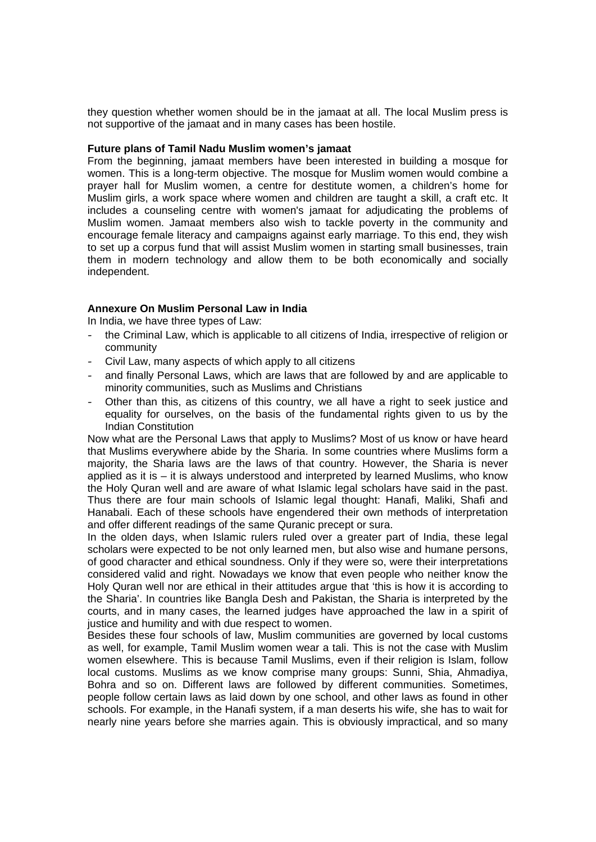they question whether women should be in the jamaat at all. The local Muslim press is not supportive of the jamaat and in many cases has been hostile.

#### **Future plans of Tamil Nadu Muslim women's jamaat**

From the beginning, jamaat members have been interested in building a mosque for women. This is a long-term objective. The mosque for Muslim women would combine a prayer hall for Muslim women, a centre for destitute women, a children's home for Muslim girls, a work space where women and children are taught a skill, a craft etc. It includes a counseling centre with women's jamaat for adjudicating the problems of Muslim women. Jamaat members also wish to tackle poverty in the community and encourage female literacy and campaigns against early marriage. To this end, they wish to set up a corpus fund that will assist Muslim women in starting small businesses, train them in modern technology and allow them to be both economically and socially independent.

# **Annexure On Muslim Personal Law in India**

In India, we have three types of Law:

- the Criminal Law, which is applicable to all citizens of India, irrespective of religion or community
- Civil Law, many aspects of which apply to all citizens
- and finally Personal Laws, which are laws that are followed by and are applicable to minority communities, such as Muslims and Christians
- Other than this, as citizens of this country, we all have a right to seek justice and equality for ourselves, on the basis of the fundamental rights given to us by the Indian Constitution

Now what are the Personal Laws that apply to Muslims? Most of us know or have heard that Muslims everywhere abide by the Sharia. In some countries where Muslims form a majority, the Sharia laws are the laws of that country. However, the Sharia is never applied as it is – it is always understood and interpreted by learned Muslims, who know the Holy Quran well and are aware of what Islamic legal scholars have said in the past. Thus there are four main schools of Islamic legal thought: Hanafi, Maliki, Shafi and Hanabali. Each of these schools have engendered their own methods of interpretation and offer different readings of the same Quranic precept or sura.

In the olden days, when Islamic rulers ruled over a greater part of India, these legal scholars were expected to be not only learned men, but also wise and humane persons, of good character and ethical soundness. Only if they were so, were their interpretations considered valid and right. Nowadays we know that even people who neither know the Holy Quran well nor are ethical in their attitudes argue that 'this is how it is according to the Sharia'. In countries like Bangla Desh and Pakistan, the Sharia is interpreted by the courts, and in many cases, the learned judges have approached the law in a spirit of justice and humility and with due respect to women.

Besides these four schools of law, Muslim communities are governed by local customs as well, for example, Tamil Muslim women wear a tali. This is not the case with Muslim women elsewhere. This is because Tamil Muslims, even if their religion is Islam, follow local customs. Muslims as we know comprise many groups: Sunni, Shia, Ahmadiya, Bohra and so on. Different laws are followed by different communities. Sometimes, people follow certain laws as laid down by one school, and other laws as found in other schools. For example, in the Hanafi system, if a man deserts his wife, she has to wait for nearly nine years before she marries again. This is obviously impractical, and so many